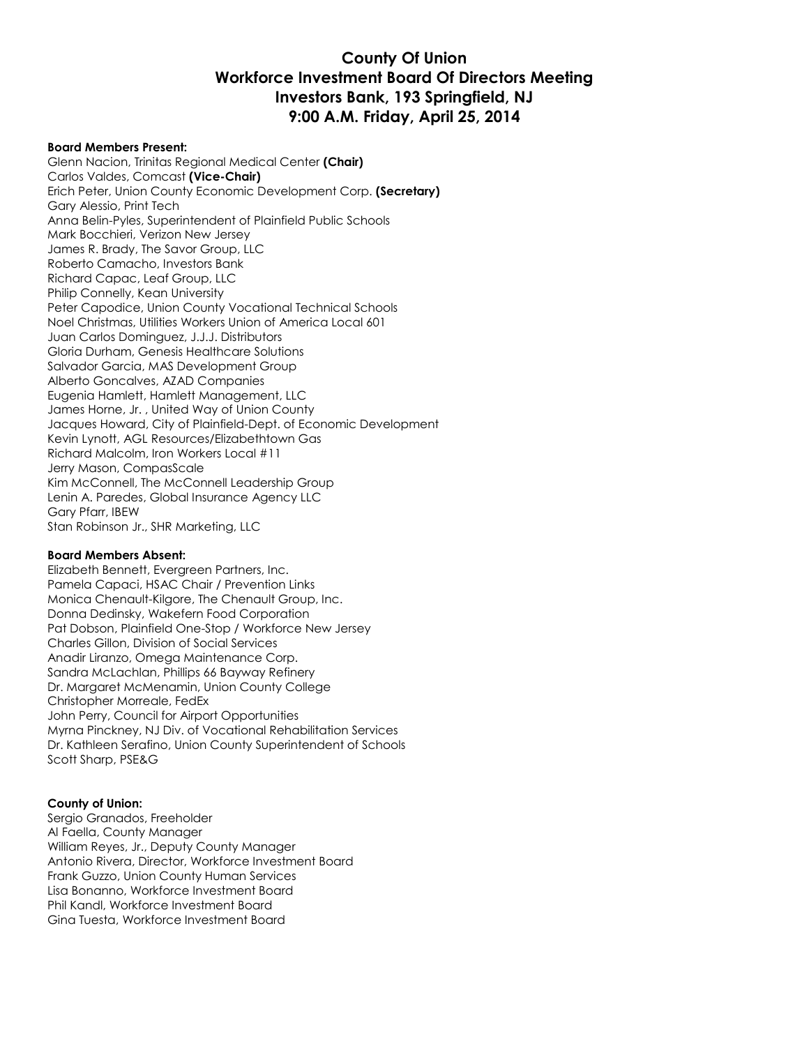# **County Of Union Workforce Investment Board Of Directors Meeting Investors Bank, 193 Springfield, NJ 9:00 A.M. Friday, April 25, 2014**

### **Board Members Present:**

Glenn Nacion, Trinitas Regional Medical Center **(Chair)** Carlos Valdes, Comcast **(Vice-Chair)** Erich Peter, Union County Economic Development Corp. **(Secretary)** Gary Alessio, Print Tech Anna Belin-Pyles, Superintendent of Plainfield Public Schools Mark Bocchieri, Verizon New Jersey James R. Brady, The Savor Group, LLC Roberto Camacho, Investors Bank Richard Capac, Leaf Group, LLC Philip Connelly, Kean University Peter Capodice, Union County Vocational Technical Schools Noel Christmas, Utilities Workers Union of America Local 601 Juan Carlos Dominguez, J.J.J. Distributors Gloria Durham, Genesis Healthcare Solutions Salvador Garcia, MAS Development Group Alberto Goncalves, AZAD Companies Eugenia Hamlett, Hamlett Management, LLC James Horne, Jr. , United Way of Union County Jacques Howard, City of Plainfield-Dept. of Economic Development Kevin Lynott, AGL Resources/Elizabethtown Gas Richard Malcolm, Iron Workers Local #11 Jerry Mason, CompasScale Kim McConnell, The McConnell Leadership Group Lenin A. Paredes, Global Insurance Agency LLC Gary Pfarr, IBEW Stan Robinson Jr., SHR Marketing, LLC

#### **Board Members Absent:**

Elizabeth Bennett, Evergreen Partners, Inc. Pamela Capaci, HSAC Chair / Prevention Links Monica Chenault-Kilgore, The Chenault Group, Inc. Donna Dedinsky, Wakefern Food Corporation Pat Dobson, Plainfield One-Stop / Workforce New Jersey Charles Gillon, Division of Social Services Anadir Liranzo, Omega Maintenance Corp. Sandra McLachlan, Phillips 66 Bayway Refinery Dr. Margaret McMenamin, Union County College Christopher Morreale, FedEx John Perry, Council for Airport Opportunities Myrna Pinckney, NJ Div. of Vocational Rehabilitation Services Dr. Kathleen Serafino, Union County Superintendent of Schools Scott Sharp, PSE&G

#### **County of Union:**

Sergio Granados, Freeholder Al Faella, County Manager William Reyes, Jr., Deputy County Manager Antonio Rivera, Director, Workforce Investment Board Frank Guzzo, Union County Human Services Lisa Bonanno, Workforce Investment Board Phil Kandl, Workforce Investment Board Gina Tuesta, Workforce Investment Board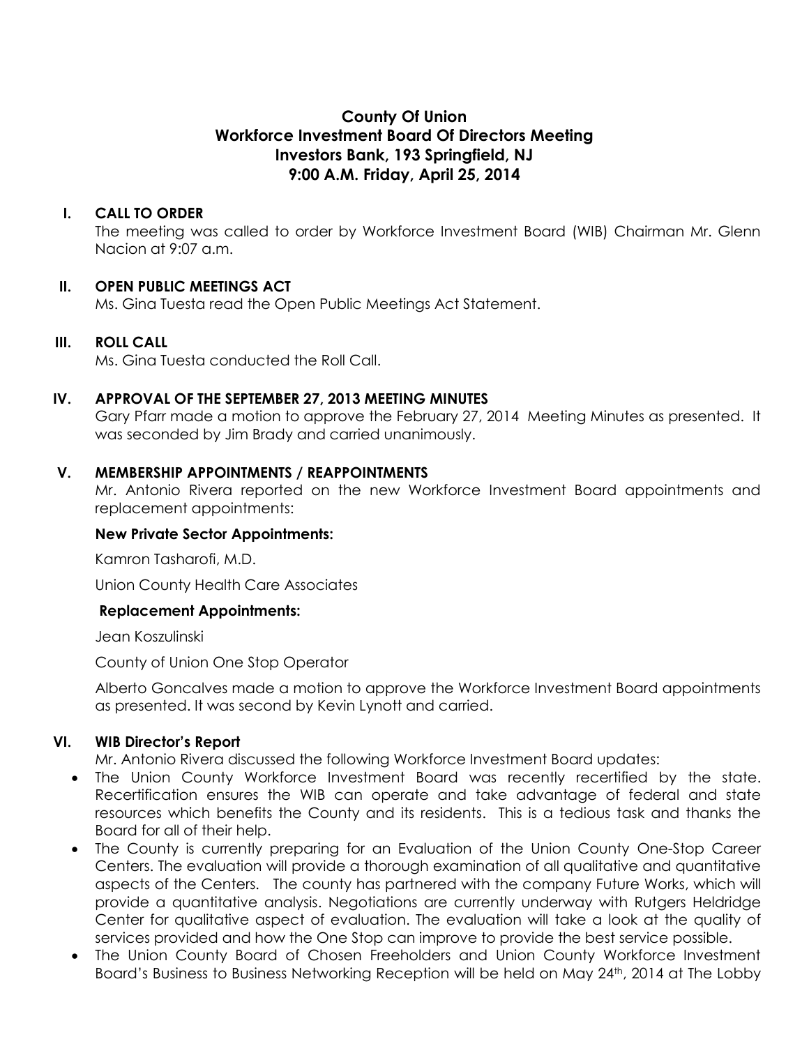# **County Of Union Workforce Investment Board Of Directors Meeting Investors Bank, 193 Springfield, NJ 9:00 A.M. Friday, April 25, 2014**

# **I. CALL TO ORDER**

The meeting was called to order by Workforce Investment Board (WIB) Chairman Mr. Glenn Nacion at 9:07 a.m.

# **II. OPEN PUBLIC MEETINGS ACT**

Ms. Gina Tuesta read the Open Public Meetings Act Statement.

# **III. ROLL CALL**

Ms. Gina Tuesta conducted the Roll Call.

# **IV. APPROVAL OF THE SEPTEMBER 27, 2013 MEETING MINUTES**

Gary Pfarr made a motion to approve the February 27, 2014 Meeting Minutes as presented. It was seconded by Jim Brady and carried unanimously.

### **V. MEMBERSHIP APPOINTMENTS / REAPPOINTMENTS**

Mr. Antonio Rivera reported on the new Workforce Investment Board appointments and replacement appointments:

### **New Private Sector Appointments:**

Kamron Tasharofi, M.D.

Union County Health Care Associates

# **Replacement Appointments:**

Jean Koszulinski

County of Union One Stop Operator

Alberto Goncalves made a motion to approve the Workforce Investment Board appointments as presented. It was second by Kevin Lynott and carried.

# **VI. WIB Director's Report**

Mr. Antonio Rivera discussed the following Workforce Investment Board updates:

- The Union County Workforce Investment Board was recently recertified by the state. Recertification ensures the WIB can operate and take advantage of federal and state resources which benefits the County and its residents. This is a tedious task and thanks the Board for all of their help.
- The County is currently preparing for an Evaluation of the Union County One-Stop Career Centers. The evaluation will provide a thorough examination of all qualitative and quantitative aspects of the Centers. The county has partnered with the company Future Works, which will provide a quantitative analysis. Negotiations are currently underway with Rutgers Heldridge Center for qualitative aspect of evaluation. The evaluation will take a look at the quality of services provided and how the One Stop can improve to provide the best service possible.
- The Union County Board of Chosen Freeholders and Union County Workforce Investment Board's Business to Business Networking Reception will be held on May 24<sup>th</sup>, 2014 at The Lobby